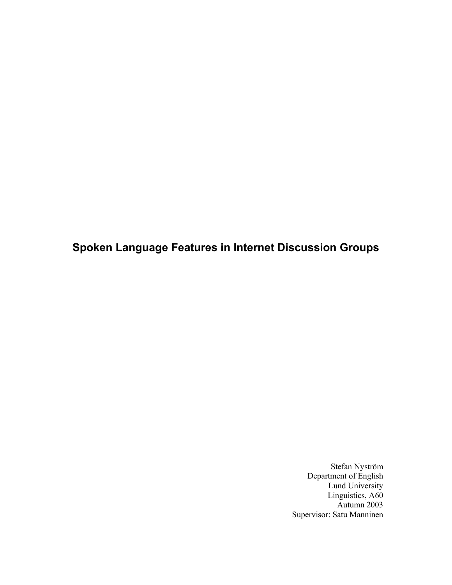**Spoken Language Features in Internet Discussion Groups** 

Stefan Nyström Department of English Lund University Linguistics, A60 Autumn 2003 Supervisor: Satu Manninen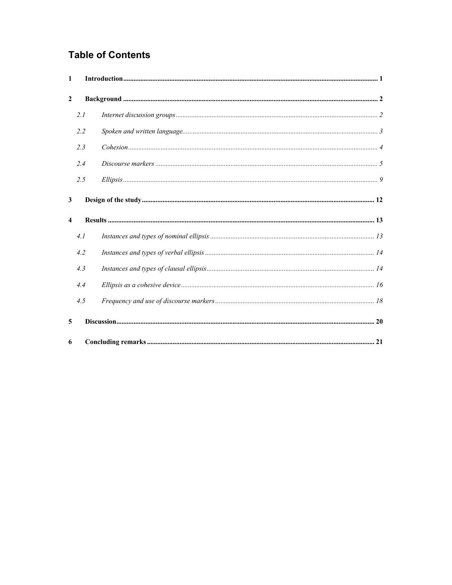# **Table of Contents**

| $\mathbf{1}$            |     |  |
|-------------------------|-----|--|
| $\overline{2}$          |     |  |
|                         | 2.1 |  |
|                         | 2.2 |  |
|                         | 2.3 |  |
|                         | 2.4 |  |
|                         | 2.5 |  |
| 3                       |     |  |
| $\overline{\mathbf{4}}$ |     |  |
|                         | 4.1 |  |
|                         | 4.2 |  |
|                         | 4.3 |  |
|                         | 4.4 |  |
|                         | 4.5 |  |
| 5                       |     |  |
| 6                       |     |  |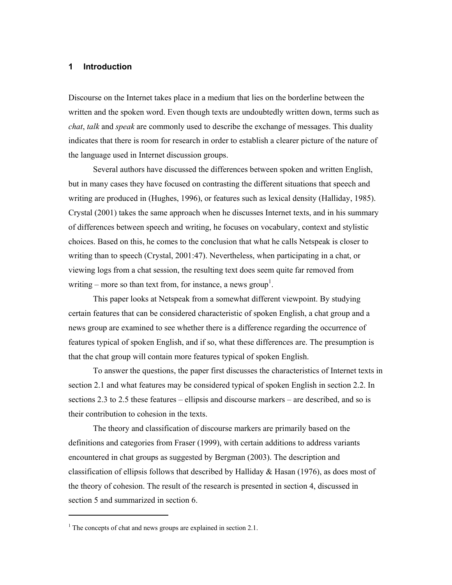#### **1 Introduction**

Discourse on the Internet takes place in a medium that lies on the borderline between the written and the spoken word. Even though texts are undoubtedly written down, terms such as *chat*, *talk* and *speak* are commonly used to describe the exchange of messages. This duality indicates that there is room for research in order to establish a clearer picture of the nature of the language used in Internet discussion groups.

Several authors have discussed the differences between spoken and written English, but in many cases they have focused on contrasting the different situations that speech and writing are produced in (Hughes, 1996), or features such as lexical density (Halliday, 1985). Crystal (2001) takes the same approach when he discusses Internet texts, and in his summary of differences between speech and writing, he focuses on vocabulary, context and stylistic choices. Based on this, he comes to the conclusion that what he calls Netspeak is closer to writing than to speech (Crystal, 2001:47). Nevertheless, when participating in a chat, or viewing logs from a chat session, the resulting text does seem quite far removed from writing – more so than text from, for instance, a news group<sup>1</sup>.

This paper looks at Netspeak from a somewhat different viewpoint. By studying certain features that can be considered characteristic of spoken English, a chat group and a news group are examined to see whether there is a difference regarding the occurrence of features typical of spoken English, and if so, what these differences are. The presumption is that the chat group will contain more features typical of spoken English.

To answer the questions, the paper first discusses the characteristics of Internet texts in section 2.1 and what features may be considered typical of spoken English in section 2.2. In sections 2.3 to 2.5 these features – ellipsis and discourse markers – are described, and so is their contribution to cohesion in the texts.

The theory and classification of discourse markers are primarily based on the definitions and categories from Fraser (1999), with certain additions to address variants encountered in chat groups as suggested by Bergman (2003). The description and classification of ellipsis follows that described by Halliday & Hasan (1976), as does most of the theory of cohesion. The result of the research is presented in section 4, discussed in section 5 and summarized in section 6.

 $\overline{a}$ 

<sup>&</sup>lt;sup>1</sup> The concepts of chat and news groups are explained in section 2.1.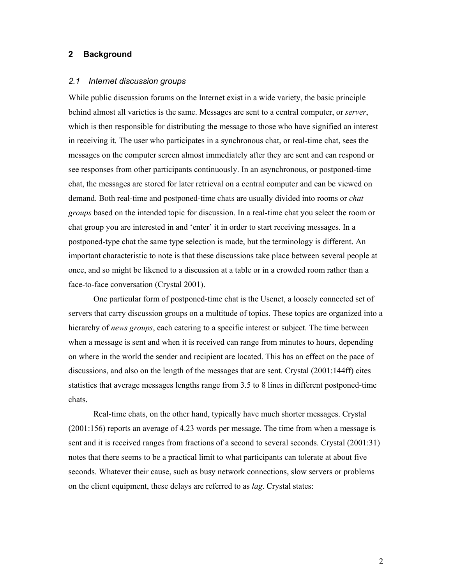## **2 Background**

## *2.1 Internet discussion groups*

While public discussion forums on the Internet exist in a wide variety, the basic principle behind almost all varieties is the same. Messages are sent to a central computer, or *server*, which is then responsible for distributing the message to those who have signified an interest in receiving it. The user who participates in a synchronous chat, or real-time chat, sees the messages on the computer screen almost immediately after they are sent and can respond or see responses from other participants continuously. In an asynchronous, or postponed-time chat, the messages are stored for later retrieval on a central computer and can be viewed on demand. Both real-time and postponed-time chats are usually divided into rooms or *chat groups* based on the intended topic for discussion. In a real-time chat you select the room or chat group you are interested in and 'enter' it in order to start receiving messages. In a postponed-type chat the same type selection is made, but the terminology is different. An important characteristic to note is that these discussions take place between several people at once, and so might be likened to a discussion at a table or in a crowded room rather than a face-to-face conversation (Crystal 2001).

One particular form of postponed-time chat is the Usenet, a loosely connected set of servers that carry discussion groups on a multitude of topics. These topics are organized into a hierarchy of *news groups*, each catering to a specific interest or subject. The time between when a message is sent and when it is received can range from minutes to hours, depending on where in the world the sender and recipient are located. This has an effect on the pace of discussions, and also on the length of the messages that are sent. Crystal (2001:144ff) cites statistics that average messages lengths range from 3.5 to 8 lines in different postponed-time chats.

Real-time chats, on the other hand, typically have much shorter messages. Crystal (2001:156) reports an average of 4.23 words per message. The time from when a message is sent and it is received ranges from fractions of a second to several seconds. Crystal (2001:31) notes that there seems to be a practical limit to what participants can tolerate at about five seconds. Whatever their cause, such as busy network connections, slow servers or problems on the client equipment, these delays are referred to as *lag*. Crystal states: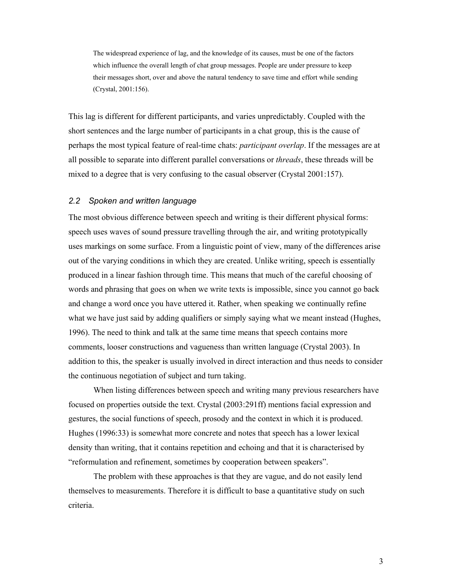The widespread experience of lag, and the knowledge of its causes, must be one of the factors which influence the overall length of chat group messages. People are under pressure to keep their messages short, over and above the natural tendency to save time and effort while sending (Crystal, 2001:156).

This lag is different for different participants, and varies unpredictably. Coupled with the short sentences and the large number of participants in a chat group, this is the cause of perhaps the most typical feature of real-time chats: *participant overlap*. If the messages are at all possible to separate into different parallel conversations or *threads*, these threads will be mixed to a degree that is very confusing to the casual observer (Crystal 2001:157).

#### *2.2 Spoken and written language*

The most obvious difference between speech and writing is their different physical forms: speech uses waves of sound pressure travelling through the air, and writing prototypically uses markings on some surface. From a linguistic point of view, many of the differences arise out of the varying conditions in which they are created. Unlike writing, speech is essentially produced in a linear fashion through time. This means that much of the careful choosing of words and phrasing that goes on when we write texts is impossible, since you cannot go back and change a word once you have uttered it. Rather, when speaking we continually refine what we have just said by adding qualifiers or simply saying what we meant instead (Hughes, 1996). The need to think and talk at the same time means that speech contains more comments, looser constructions and vagueness than written language (Crystal 2003). In addition to this, the speaker is usually involved in direct interaction and thus needs to consider the continuous negotiation of subject and turn taking.

When listing differences between speech and writing many previous researchers have focused on properties outside the text. Crystal (2003:291ff) mentions facial expression and gestures, the social functions of speech, prosody and the context in which it is produced. Hughes (1996:33) is somewhat more concrete and notes that speech has a lower lexical density than writing, that it contains repetition and echoing and that it is characterised by "reformulation and refinement, sometimes by cooperation between speakers".

The problem with these approaches is that they are vague, and do not easily lend themselves to measurements. Therefore it is difficult to base a quantitative study on such criteria.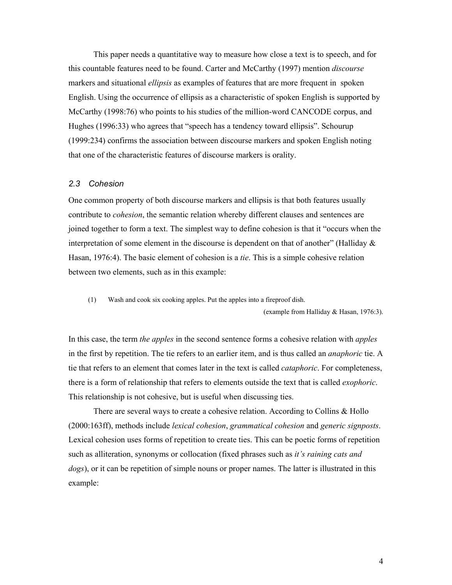This paper needs a quantitative way to measure how close a text is to speech, and for this countable features need to be found. Carter and McCarthy (1997) mention *discourse*  markers and situational *ellipsis* as examples of features that are more frequent in spoken English. Using the occurrence of ellipsis as a characteristic of spoken English is supported by McCarthy (1998:76) who points to his studies of the million-word CANCODE corpus, and Hughes (1996:33) who agrees that "speech has a tendency toward ellipsis". Schourup (1999:234) confirms the association between discourse markers and spoken English noting that one of the characteristic features of discourse markers is orality.

#### *2.3 Cohesion*

One common property of both discourse markers and ellipsis is that both features usually contribute to *cohesion*, the semantic relation whereby different clauses and sentences are joined together to form a text. The simplest way to define cohesion is that it "occurs when the interpretation of some element in the discourse is dependent on that of another" (Halliday  $\&$ Hasan, 1976:4). The basic element of cohesion is a *tie*. This is a simple cohesive relation between two elements, such as in this example:

(1) Wash and cook six cooking apples. Put the apples into a fireproof dish.

(example from Halliday & Hasan, 1976:3).

In this case, the term *the apples* in the second sentence forms a cohesive relation with *apples* in the first by repetition. The tie refers to an earlier item, and is thus called an *anaphoric* tie. A tie that refers to an element that comes later in the text is called *cataphoric*. For completeness, there is a form of relationship that refers to elements outside the text that is called *exophoric*. This relationship is not cohesive, but is useful when discussing ties.

 There are several ways to create a cohesive relation. According to Collins & Hollo (2000:163ff), methods include *lexical cohesion*, *grammatical cohesion* and *generic signposts*. Lexical cohesion uses forms of repetition to create ties. This can be poetic forms of repetition such as alliteration, synonyms or collocation (fixed phrases such as *it's raining cats and dogs*), or it can be repetition of simple nouns or proper names. The latter is illustrated in this example: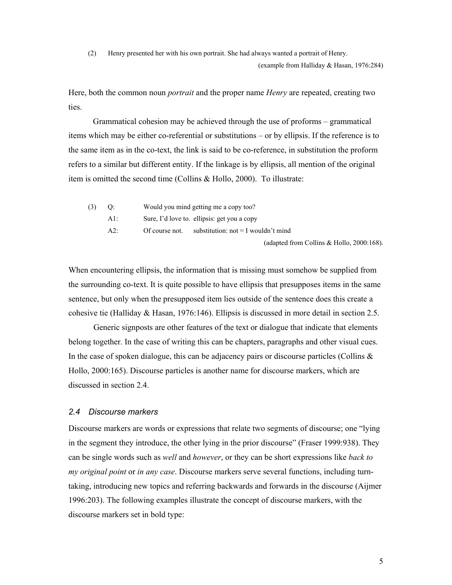(2) Henry presented her with his own portrait. She had always wanted a portrait of Henry.

(example from Halliday & Hasan, 1976:284)

Here, both the common noun *portrait* and the proper name *Henry* are repeated, creating two ties.

Grammatical cohesion may be achieved through the use of proforms – grammatical items which may be either co-referential or substitutions – or by ellipsis. If the reference is to the same item as in the co-text, the link is said to be co-reference, in substitution the proform refers to a similar but different entity. If the linkage is by ellipsis, all mention of the original item is omitted the second time (Collins & Hollo, 2000). To illustrate:

| $(3)$ Q: |            |                | Would you mind getting me a copy too?        |
|----------|------------|----------------|----------------------------------------------|
|          | A $\vdots$ |                | Sure, I'd love to. ellipsis: get you a copy  |
|          | A2:        | Of course not. | substitution: $not = I$ wouldn't mind        |
|          |            |                | (adapted from Collins & Hollo, $2000:168$ ). |

When encountering ellipsis, the information that is missing must somehow be supplied from the surrounding co-text. It is quite possible to have ellipsis that presupposes items in the same sentence, but only when the presupposed item lies outside of the sentence does this create a cohesive tie (Halliday & Hasan, 1976:146). Ellipsis is discussed in more detail in section 2.5.

 Generic signposts are other features of the text or dialogue that indicate that elements belong together. In the case of writing this can be chapters, paragraphs and other visual cues. In the case of spoken dialogue, this can be adjacency pairs or discourse particles (Collins  $\&$ Hollo, 2000:165). Discourse particles is another name for discourse markers, which are discussed in section 2.4.

## *2.4 Discourse markers*

Discourse markers are words or expressions that relate two segments of discourse; one "lying in the segment they introduce, the other lying in the prior discourse" (Fraser 1999:938). They can be single words such as *well* and *however*, or they can be short expressions like *back to my original point* or *in any case*. Discourse markers serve several functions, including turntaking, introducing new topics and referring backwards and forwards in the discourse (Aijmer 1996:203). The following examples illustrate the concept of discourse markers, with the discourse markers set in bold type: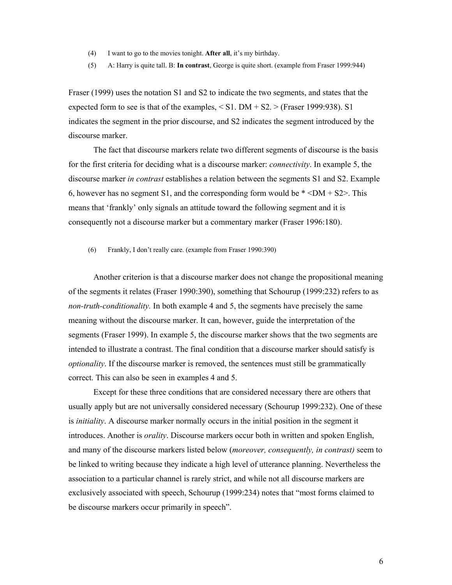- (4) I want to go to the movies tonight. **After all**, it's my birthday.
- (5) A: Harry is quite tall. B: **In contrast**, George is quite short. (example from Fraser 1999:944)

Fraser (1999) uses the notation S1 and S2 to indicate the two segments, and states that the expected form to see is that of the examples,  $\leq$  S1. DM + S2.  $\geq$  (Fraser 1999:938). S1 indicates the segment in the prior discourse, and S2 indicates the segment introduced by the discourse marker.

The fact that discourse markers relate two different segments of discourse is the basis for the first criteria for deciding what is a discourse marker: *connectivity*. In example 5, the discourse marker *in contrast* establishes a relation between the segments S1 and S2. Example 6, however has no segment S1, and the corresponding form would be  $*$  <DM + S2>. This means that 'frankly' only signals an attitude toward the following segment and it is consequently not a discourse marker but a commentary marker (Fraser 1996:180).

(6) Frankly, I don't really care. (example from Fraser 1990:390)

 Another criterion is that a discourse marker does not change the propositional meaning of the segments it relates (Fraser 1990:390), something that Schourup (1999:232) refers to as *non-truth-conditionality.* In both example 4 and 5, the segments have precisely the same meaning without the discourse marker. It can, however, guide the interpretation of the segments (Fraser 1999). In example 5, the discourse marker shows that the two segments are intended to illustrate a contrast. The final condition that a discourse marker should satisfy is *optionality*. If the discourse marker is removed, the sentences must still be grammatically correct. This can also be seen in examples 4 and 5.

Except for these three conditions that are considered necessary there are others that usually apply but are not universally considered necessary (Schourup 1999:232). One of these is *initiality*. A discourse marker normally occurs in the initial position in the segment it introduces. Another is *orality*. Discourse markers occur both in written and spoken English, and many of the discourse markers listed below (*moreover, consequently, in contrast)* seem to be linked to writing because they indicate a high level of utterance planning. Nevertheless the association to a particular channel is rarely strict, and while not all discourse markers are exclusively associated with speech, Schourup (1999:234) notes that "most forms claimed to be discourse markers occur primarily in speech".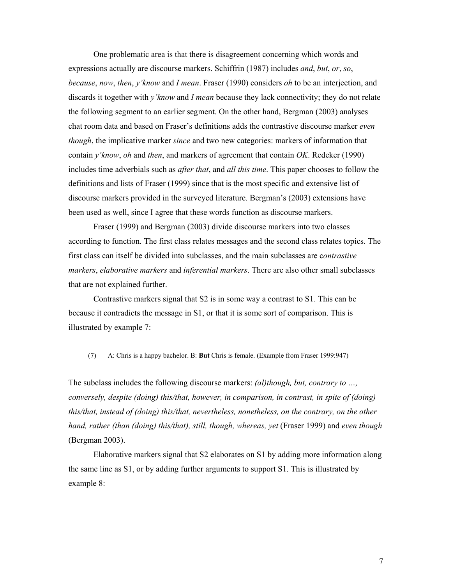One problematic area is that there is disagreement concerning which words and expressions actually are discourse markers. Schiffrin (1987) includes *and*, *but*, *or*, *so*, *because*, *now*, *then*, *y'know* and *I mean*. Fraser (1990) considers *oh* to be an interjection, and discards it together with *y'know* and *I mean* because they lack connectivity; they do not relate the following segment to an earlier segment. On the other hand, Bergman (2003) analyses chat room data and based on Fraser's definitions adds the contrastive discourse marker *even though*, the implicative marker *since* and two new categories: markers of information that contain *y'know*, *oh* and *then*, and markers of agreement that contain *OK*. Redeker (1990) includes time adverbials such as *after that*, and *all this time*. This paper chooses to follow the definitions and lists of Fraser (1999) since that is the most specific and extensive list of discourse markers provided in the surveyed literature. Bergman's (2003) extensions have been used as well, since I agree that these words function as discourse markers.

 Fraser (1999) and Bergman (2003) divide discourse markers into two classes according to function. The first class relates messages and the second class relates topics. The first class can itself be divided into subclasses, and the main subclasses are c*ontrastive markers*, *elaborative markers* and *inferential markers*. There are also other small subclasses that are not explained further.

 Contrastive markers signal that S2 is in some way a contrast to S1. This can be because it contradicts the message in S1, or that it is some sort of comparison. This is illustrated by example 7:

(7) A: Chris is a happy bachelor. B: **But** Chris is female. (Example from Fraser 1999:947)

The subclass includes the following discourse markers: *(al)though, but, contrary to …, conversely, despite (doing) this/that, however, in comparison, in contrast, in spite of (doing) this/that, instead of (doing) this/that, nevertheless, nonetheless, on the contrary, on the other hand, rather (than (doing) this/that), still, though, whereas, yet (Fraser 1999) and even though* (Bergman 2003).

 Elaborative markers signal that S2 elaborates on S1 by adding more information along the same line as S1, or by adding further arguments to support S1. This is illustrated by example 8: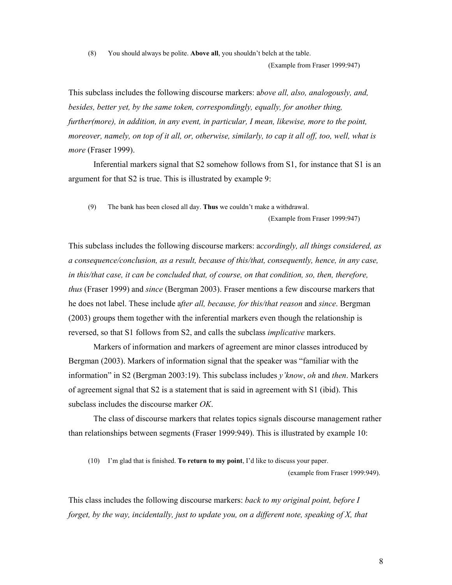(8) You should always be polite. **Above all**, you shouldn't belch at the table.

(Example from Fraser 1999:947)

This subclass includes the following discourse markers: a*bove all, also, analogously, and, besides, better yet, by the same token, correspondingly, equally, for another thing, further(more), in addition, in any event, in particular, I mean, likewise, more to the point, moreover, namely, on top of it all, or, otherwise, similarly, to cap it all off, too, well, what is more* (Fraser 1999).

 Inferential markers signal that S2 somehow follows from S1, for instance that S1 is an argument for that S2 is true. This is illustrated by example 9:

(9) The bank has been closed all day. **Thus** we couldn't make a withdrawal.

(Example from Fraser 1999:947)

This subclass includes the following discourse markers: a*ccordingly, all things considered, as a consequence/conclusion, as a result, because of this/that, consequently, hence, in any case, in this/that case, it can be concluded that, of course, on that condition, so, then, therefore, thus* (Fraser 1999) and *since* (Bergman 2003). Fraser mentions a few discourse markers that he does not label. These include a*fter all, because, for this/that reason* and *since*. Bergman (2003) groups them together with the inferential markers even though the relationship is reversed, so that S1 follows from S2, and calls the subclass *implicative* markers.

 Markers of information and markers of agreement are minor classes introduced by Bergman (2003). Markers of information signal that the speaker was "familiar with the information" in S2 (Bergman 2003:19). This subclass includes *y'know*, *oh* and *then*. Markers of agreement signal that S2 is a statement that is said in agreement with S1 (ibid). This subclass includes the discourse marker *OK*.

 The class of discourse markers that relates topics signals discourse management rather than relationships between segments (Fraser 1999:949). This is illustrated by example 10:

(10) I'm glad that is finished. **To return to my point**, I'd like to discuss your paper.

(example from Fraser 1999:949).

This class includes the following discourse markers: *back to my original point, before I forget, by the way, incidentally, just to update you, on a different note, speaking of X, that*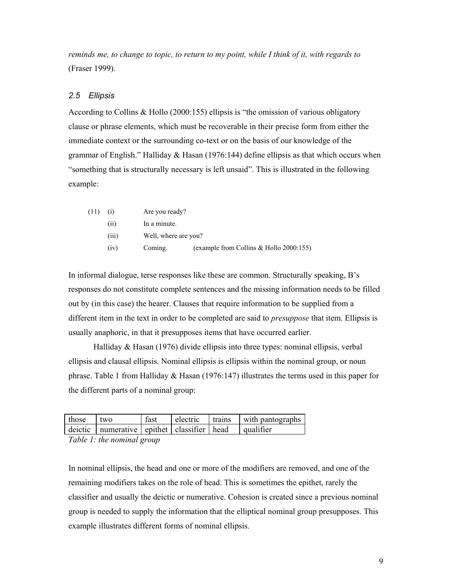*reminds me, to change to topic, to return to my point, while I think of it, with regards to* (Fraser 1999).

### *2.5 Ellipsis*

According to Collins & Hollo (2000:155) ellipsis is "the omission of various obligatory clause or phrase elements, which must be recoverable in their precise form from either the immediate context or the surrounding co-text or on the basis of our knowledge of the grammar of English." Halliday & Hasan (1976:144) define ellipsis as that which occurs when "something that is structurally necessary is left unsaid". This is illustrated in the following example:

| (11) | (i)   | Are you ready?       |                                         |
|------|-------|----------------------|-----------------------------------------|
|      | (11)  | In a minute.         |                                         |
|      | (iii) | Well, where are you? |                                         |
|      | (iv)  | Coming.              | (example from Collins & Hollo 2000:155) |

In informal dialogue, terse responses like these are common. Structurally speaking, B's responses do not constitute complete sentences and the missing information needs to be filled out by (in this case) the hearer. Clauses that require information to be supplied from a different item in the text in order to be completed are said to *presuppose* that item. Ellipsis is usually anaphoric, in that it presupposes items that have occurred earlier.

Halliday  $\&$  Hasan (1976) divide ellipsis into three types: nominal ellipsis, verbal ellipsis and clausal ellipsis. Nominal ellipsis is ellipsis within the nominal group, or noun phrase. Table 1 from Halliday  $\&$  Hasan (1976:147) illustrates the terms used in this paper for the different parts of a nominal group:

| those | l two                                                                                                | fast |  | electric trains with pantographs |
|-------|------------------------------------------------------------------------------------------------------|------|--|----------------------------------|
|       | $\vert$ deictic $\vert$ numerative $\vert$ epithet $\vert$ classifier $\vert$ head $\vert$ qualifier |      |  |                                  |

*Table 1: the nominal group* 

In nominal ellipsis, the head and one or more of the modifiers are removed, and one of the remaining modifiers takes on the role of head. This is sometimes the epithet, rarely the classifier and usually the deictic or numerative. Cohesion is created since a previous nominal group is needed to supply the information that the elliptical nominal group presupposes. This example illustrates different forms of nominal ellipsis.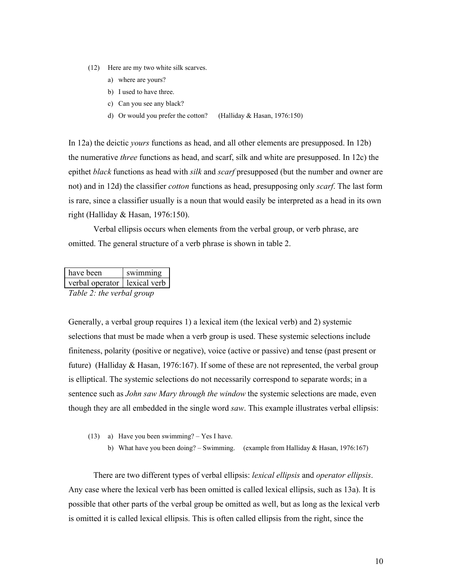- (12) Here are my two white silk scarves.
	- a) where are yours?
	- b) I used to have three.
	- c) Can you see any black?
	- d) Or would you prefer the cotton? (Halliday & Hasan, 1976:150)

In 12a) the deictic *yours* functions as head, and all other elements are presupposed. In 12b) the numerative *three* functions as head, and scarf, silk and white are presupposed. In 12c) the epithet *black* functions as head with *silk* and *scarf* presupposed (but the number and owner are not) and in 12d) the classifier *cotton* functions as head, presupposing only *scarf*. The last form is rare, since a classifier usually is a noun that would easily be interpreted as a head in its own right (Halliday & Hasan, 1976:150).

Verbal ellipsis occurs when elements from the verbal group, or verb phrase, are omitted. The general structure of a verb phrase is shown in table 2.

| have been                      | swimming |
|--------------------------------|----------|
| verbal operator   lexical verb |          |
| Table 2: the verbal group      |          |

Generally, a verbal group requires 1) a lexical item (the lexical verb) and 2) systemic selections that must be made when a verb group is used. These systemic selections include finiteness, polarity (positive or negative), voice (active or passive) and tense (past present or future) (Halliday & Hasan, 1976:167). If some of these are not represented, the verbal group is elliptical. The systemic selections do not necessarily correspond to separate words; in a sentence such as *John saw Mary through the window* the systemic selections are made, even though they are all embedded in the single word *saw*. This example illustrates verbal ellipsis:

- (13) a) Have you been swimming? Yes I have.
	- b) What have you been doing? Swimming. (example from Halliday & Hasan, 1976:167)

There are two different types of verbal ellipsis: *lexical ellipsis* and *operator ellipsis*. Any case where the lexical verb has been omitted is called lexical ellipsis, such as 13a). It is possible that other parts of the verbal group be omitted as well, but as long as the lexical verb is omitted it is called lexical ellipsis. This is often called ellipsis from the right, since the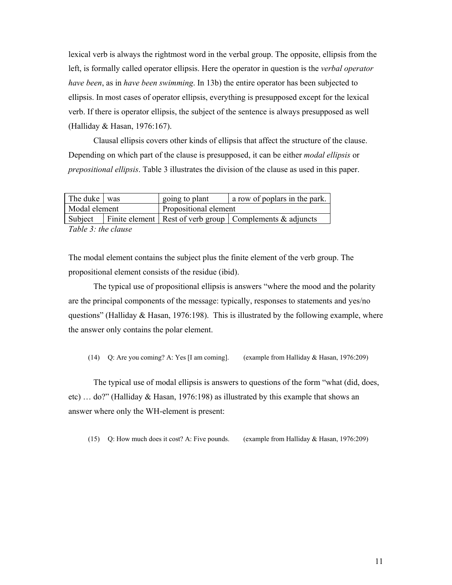lexical verb is always the rightmost word in the verbal group. The opposite, ellipsis from the left, is formally called operator ellipsis. Here the operator in question is the *verbal operator have been*, as in *have been swimming*. In 13b) the entire operator has been subjected to ellipsis. In most cases of operator ellipsis, everything is presupposed except for the lexical verb. If there is operator ellipsis, the subject of the sentence is always presupposed as well (Halliday & Hasan, 1976:167).

Clausal ellipsis covers other kinds of ellipsis that affect the structure of the clause. Depending on which part of the clause is presupposed, it can be either *modal ellipsis* or *prepositional ellipsis*. Table 3 illustrates the division of the clause as used in this paper.

| The duke was          |  | a row of poplars in the park.<br>going to plant |                                                                        |  |
|-----------------------|--|-------------------------------------------------|------------------------------------------------------------------------|--|
| Modal element         |  | Propositional element                           |                                                                        |  |
|                       |  |                                                 | Subject   Finite element   Rest of verb group   Complements & adjuncts |  |
| $\overline{m}$ ii a i |  |                                                 |                                                                        |  |

*Table 3: the clause* 

The modal element contains the subject plus the finite element of the verb group. The propositional element consists of the residue (ibid).

The typical use of propositional ellipsis is answers "where the mood and the polarity are the principal components of the message: typically, responses to statements and yes/no questions" (Halliday  $\&$  Hasan, 1976:198). This is illustrated by the following example, where the answer only contains the polar element.

(14) Q: Are you coming? A: Yes [I am coming]. (example from Halliday & Hasan, 1976:209)

The typical use of modal ellipsis is answers to questions of the form "what (did, does, etc) … do?" (Halliday & Hasan, 1976:198) as illustrated by this example that shows an answer where only the WH-element is present:

(15) Q: How much does it cost? A: Five pounds. (example from Halliday & Hasan, 1976:209)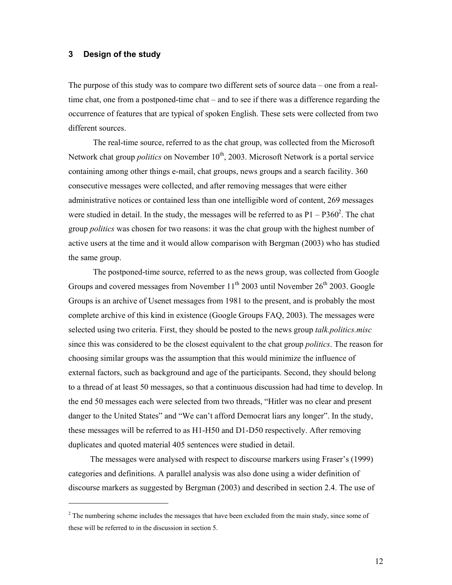### **3 Design of the study**

 $\overline{a}$ 

The purpose of this study was to compare two different sets of source data – one from a realtime chat, one from a postponed-time chat – and to see if there was a difference regarding the occurrence of features that are typical of spoken English. These sets were collected from two different sources.

The real-time source, referred to as the chat group, was collected from the Microsoft Network chat group *politics* on November 10<sup>th</sup>, 2003. Microsoft Network is a portal service containing among other things e-mail, chat groups, news groups and a search facility. 360 consecutive messages were collected, and after removing messages that were either administrative notices or contained less than one intelligible word of content, 269 messages were studied in detail. In the study, the messages will be referred to as  $P1 - P360^2$ . The chat group *politics* was chosen for two reasons: it was the chat group with the highest number of active users at the time and it would allow comparison with Bergman (2003) who has studied the same group.

The postponed-time source, referred to as the news group, was collected from Google Groups and covered messages from November  $11<sup>th</sup>$  2003 until November 26<sup>th</sup> 2003. Google Groups is an archive of Usenet messages from 1981 to the present, and is probably the most complete archive of this kind in existence (Google Groups FAQ, 2003). The messages were selected using two criteria. First, they should be posted to the news group *talk.politics.misc*  since this was considered to be the closest equivalent to the chat group *politics*. The reason for choosing similar groups was the assumption that this would minimize the influence of external factors, such as background and age of the participants. Second, they should belong to a thread of at least 50 messages, so that a continuous discussion had had time to develop. In the end 50 messages each were selected from two threads, "Hitler was no clear and present danger to the United States" and "We can't afford Democrat liars any longer". In the study, these messages will be referred to as H1-H50 and D1-D50 respectively. After removing duplicates and quoted material 405 sentences were studied in detail.

 The messages were analysed with respect to discourse markers using Fraser's (1999) categories and definitions. A parallel analysis was also done using a wider definition of discourse markers as suggested by Bergman (2003) and described in section 2.4. The use of

 $2<sup>2</sup>$  The numbering scheme includes the messages that have been excluded from the main study, since some of these will be referred to in the discussion in section 5.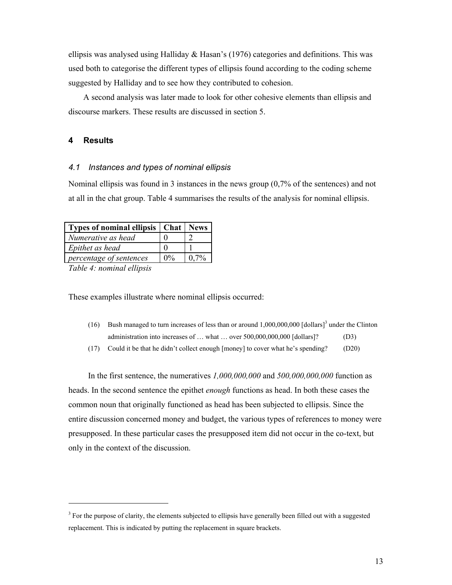ellipsis was analysed using Halliday & Hasan's (1976) categories and definitions. This was used both to categorise the different types of ellipsis found according to the coding scheme suggested by Halliday and to see how they contributed to cohesion.

A second analysis was later made to look for other cohesive elements than ellipsis and discourse markers. These results are discussed in section 5.

#### **4 Results**

#### *4.1 Instances and types of nominal ellipsis*

Nominal ellipsis was found in 3 instances in the news group (0,7% of the sentences) and not at all in the chat group. Table 4 summarises the results of the analysis for nominal ellipsis.

| Types of nominal ellipsis   Chat |                       | <b>News</b> |
|----------------------------------|-----------------------|-------------|
| Numerative as head               |                       |             |
| Epithet as head                  |                       |             |
| percentage of sentences          | $\Omega$ <sup>o</sup> | (17%        |
|                                  |                       |             |

*Table 4: nominal ellipsis*

 $\overline{a}$ 

These examples illustrate where nominal ellipsis occurred:

- (16) Bush managed to turn increases of less than or around  $1,000,000,000$  [dollars]<sup>3</sup> under the Clinton administration into increases of ... what ... over 500,000,000,000 [dollars]? (D3)
- (17) Could it be that he didn't collect enough [money] to cover what he's spending? (D20)

In the first sentence, the numeratives *1,000,000,000* and *500,000,000,000* function as heads. In the second sentence the epithet *enough* functions as head. In both these cases the common noun that originally functioned as head has been subjected to ellipsis. Since the entire discussion concerned money and budget, the various types of references to money were presupposed. In these particular cases the presupposed item did not occur in the co-text, but only in the context of the discussion.

 $3$  For the purpose of clarity, the elements subjected to ellipsis have generally been filled out with a suggested replacement. This is indicated by putting the replacement in square brackets.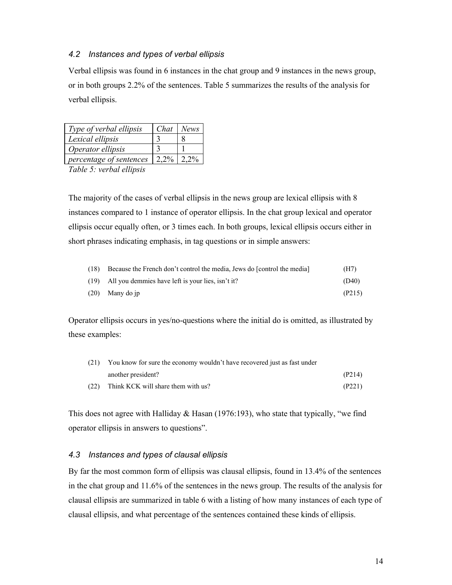## *4.2 Instances and types of verbal ellipsis*

Verbal ellipsis was found in 6 instances in the chat group and 9 instances in the news group, or in both groups 2.2% of the sentences. Table 5 summarizes the results of the analysis for verbal ellipsis.

| Type of verbal ellipsis | Chat    | <b>News</b> |
|-------------------------|---------|-------------|
| Lexical ellipsis        |         |             |
| Operator ellipsis       |         |             |
| percentage of sentences | $2.2\%$ | $2.2\%$     |

*Table 5: verbal ellipsis* 

The majority of the cases of verbal ellipsis in the news group are lexical ellipsis with 8 instances compared to 1 instance of operator ellipsis. In the chat group lexical and operator ellipsis occur equally often, or 3 times each. In both groups, lexical ellipsis occurs either in short phrases indicating emphasis, in tag questions or in simple answers:

| (18) | Because the French don't control the media, Jews do [control the media] | (H7)   |
|------|-------------------------------------------------------------------------|--------|
|      | $(19)$ All you demmies have left is your lies, isn't it?                | (D40)  |
|      | $(20)$ Many do ip                                                       | (P215) |

Operator ellipsis occurs in yes/no-questions where the initial do is omitted, as illustrated by these examples:

| (21) | You know for sure the economy wouldn't have recovered just as fast under |        |  |
|------|--------------------------------------------------------------------------|--------|--|
|      | another president?                                                       | (P214) |  |
| (22) | Think KCK will share them with us?                                       | (P221) |  |

This does not agree with Halliday & Hasan (1976:193), who state that typically, "we find operator ellipsis in answers to questions".

## *4.3 Instances and types of clausal ellipsis*

By far the most common form of ellipsis was clausal ellipsis, found in 13.4% of the sentences in the chat group and 11.6% of the sentences in the news group. The results of the analysis for clausal ellipsis are summarized in table 6 with a listing of how many instances of each type of clausal ellipsis, and what percentage of the sentences contained these kinds of ellipsis.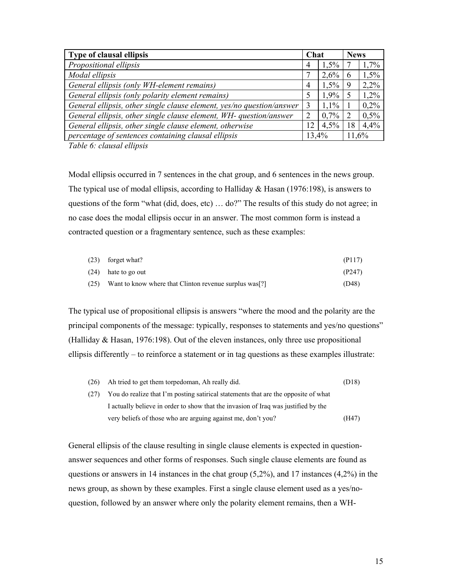| Type of clausal ellipsis                                              |    | Chat    |       | <b>News</b> |  |
|-----------------------------------------------------------------------|----|---------|-------|-------------|--|
| Propositional ellipsis                                                | 4  | $1.5\%$ |       | 1,7%        |  |
| Modal ellipsis                                                        |    | 2.6%    | 6     | 1,5%        |  |
| General ellipsis (only WH-element remains)                            | 4  | $1.5\%$ | 9     | 2,2%        |  |
| General ellipsis (only polarity element remains)                      |    | $1.9\%$ |       | 1,2%        |  |
| General ellipsis, other single clause element, yes/no question/answer |    | $1.1\%$ |       | 0,2%        |  |
| General ellipsis, other single clause element, WH- question/answer    |    | $0.7\%$ | 2     | 0,5%        |  |
| General ellipsis, other single clause element, otherwise              | 12 | 4.5%    | 18    | 4.4%        |  |
| percentage of sentences containing clausal ellipsis                   |    | 13,4%   | 11.6% |             |  |

*Table 6: clausal ellipsis* 

Modal ellipsis occurred in 7 sentences in the chat group, and 6 sentences in the news group. The typical use of modal ellipsis, according to Halliday  $\&$  Hasan (1976:198), is answers to questions of the form "what (did, does, etc) … do?" The results of this study do not agree; in no case does the modal ellipsis occur in an answer. The most common form is instead a contracted question or a fragmentary sentence, such as these examples:

| $(23)$ forget what?                                            | (P117) |
|----------------------------------------------------------------|--------|
| $(24)$ hate to go out                                          | (P247) |
| $(25)$ Want to know where that Clinton revenue surplus was [?] | (D48)  |

The typical use of propositional ellipsis is answers "where the mood and the polarity are the principal components of the message: typically, responses to statements and yes/no questions" (Halliday & Hasan, 1976:198). Out of the eleven instances, only three use propositional ellipsis differently – to reinforce a statement or in tag questions as these examples illustrate:

| (26) | Ah tried to get them torpedoman, Ah really did.                                    | (D18) |
|------|------------------------------------------------------------------------------------|-------|
| (27) | You do realize that I'm posting satirical statements that are the opposite of what |       |
|      | I actually believe in order to show that the invasion of Iraq was justified by the |       |
|      | very beliefs of those who are arguing against me, don't you?                       | (H47) |

General ellipsis of the clause resulting in single clause elements is expected in questionanswer sequences and other forms of responses. Such single clause elements are found as questions or answers in 14 instances in the chat group (5,2%), and 17 instances (4,2%) in the news group, as shown by these examples. First a single clause element used as a yes/noquestion, followed by an answer where only the polarity element remains, then a WH-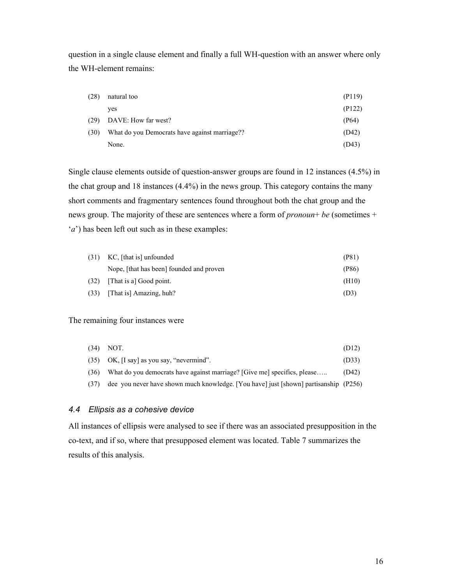question in a single clause element and finally a full WH-question with an answer where only the WH-element remains:

| (28) | natural too                                   | (P119) |
|------|-----------------------------------------------|--------|
|      | ves                                           | (P122) |
| (29) | DAVE: How far west?                           | (P64)  |
| (30) | What do you Democrats have against marriage?? | (D42)  |
|      | None.                                         | (D43)  |

Single clause elements outside of question-answer groups are found in 12 instances (4.5%) in the chat group and 18 instances (4.4%) in the news group. This category contains the many short comments and fragmentary sentences found throughout both the chat group and the news group. The majority of these are sentences where a form of *pronoun*+ *be* (sometimes + '*a*') has been left out such as in these examples:

| (31) | KC, [that is] unfounded                  | (P81) |
|------|------------------------------------------|-------|
|      | Nope, [that has been] founded and proven | (P86) |
| (32) | [That is a] Good point.                  | (H10) |
| (33) | [That is] Amazing, huh?                  | (D3)  |

#### The remaining four instances were

|      | $(34)$ NOT.                                                                          | (D12) |
|------|--------------------------------------------------------------------------------------|-------|
|      | $(35)$ OK, [I say] as you say, "nevermind".                                          | (D33) |
| (36) | What do you democrats have against marriage? [Give me] specifics, please             | (D42) |
| (37) | dee you never have shown much knowledge. [You have] just [shown] partisanship (P256) |       |

#### *4.4 Ellipsis as a cohesive device*

All instances of ellipsis were analysed to see if there was an associated presupposition in the co-text, and if so, where that presupposed element was located. Table 7 summarizes the results of this analysis.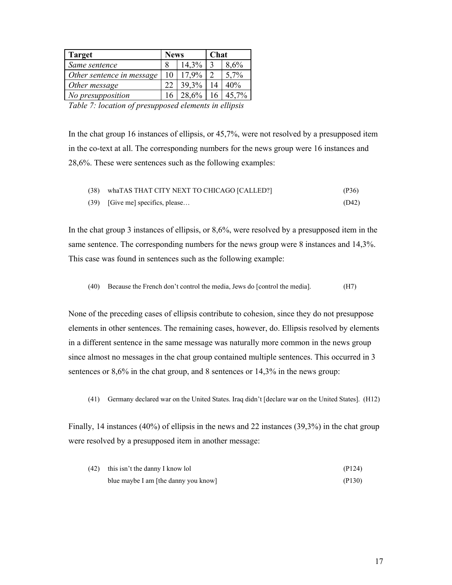| <b>Target</b>               | <b>News</b> |          | <b>Chat</b> |          |
|-----------------------------|-------------|----------|-------------|----------|
| Same sentence               |             | 14,3%    |             | 8,6%     |
| Other sentence in message   | 10          | $17.9\%$ | ∍           | 5,7%     |
| Other message               |             | 39,3%    |             | 40%      |
| No presupposition           |             | 28,6%    | 16          | 45,7%    |
| $\sim$ $\sim$ $\sim$ $\sim$ |             | . .      | $\sim$      | $\cdots$ |

*Table 7: location of presupposed elements in ellipsis* 

In the chat group 16 instances of ellipsis, or 45,7%, were not resolved by a presupposed item in the co-text at all. The corresponding numbers for the news group were 16 instances and 28,6%. These were sentences such as the following examples:

| (38) | whaTAS THAT CITY NEXT TO CHICAGO [CALLED?] | (P36) |
|------|--------------------------------------------|-------|
|      | (39) [Give me] specifics, please           | (D42) |

In the chat group 3 instances of ellipsis, or 8,6%, were resolved by a presupposed item in the same sentence. The corresponding numbers for the news group were 8 instances and 14,3%. This case was found in sentences such as the following example:

(40) Because the French don't control the media, Jews do [control the media]. (H7)

None of the preceding cases of ellipsis contribute to cohesion, since they do not presuppose elements in other sentences. The remaining cases, however, do. Ellipsis resolved by elements in a different sentence in the same message was naturally more common in the news group since almost no messages in the chat group contained multiple sentences. This occurred in 3 sentences or 8,6% in the chat group, and 8 sentences or 14,3% in the news group:

(41) Germany declared war on the United States. Iraq didn't [declare war on the United States]. (H12)

Finally, 14 instances (40%) of ellipsis in the news and 22 instances (39,3%) in the chat group were resolved by a presupposed item in another message:

| (42) | this isn't the danny I know lol      | (P124) |
|------|--------------------------------------|--------|
|      | blue maybe I am [the danny you know] | (P130) |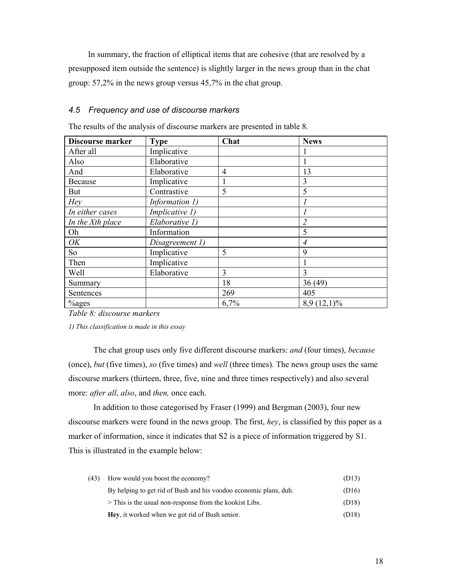In summary, the fraction of elliptical items that are cohesive (that are resolved by a presupposed item outside the sentence) is slightly larger in the news group than in the chat group: 57,2% in the news group versus 45,7% in the chat group.

## *4.5 Frequency and use of discourse markers*

The results of the analysis of discourse markers are presented in table 8.

| <b>Discourse marker</b> | <b>Type</b>     | Chat | <b>News</b>    |
|-------------------------|-----------------|------|----------------|
| After all               | Implicative     |      |                |
| Also                    | Elaborative     |      |                |
| And                     | Elaborative     | 4    | 13             |
| Because                 | Implicative     | 1    | 3              |
| But                     | Contrastive     | 5    | 5              |
| Hey                     | Information 1)  |      |                |
| In either cases         | Implicative 1)  |      |                |
| In the Xth place        | Elaborative 1)  |      | 2              |
| Oh                      | Information     |      | 5              |
| OK                      | Disagreement 1) |      | $\overline{4}$ |
| So                      | Implicative     | 5    | 9              |
| Then                    | Implicative     |      |                |
| Well                    | Elaborative     | 3    | 3              |
| Summary                 |                 | 18   | 36(49)         |
| Sentences               |                 | 269  | 405            |
| <sup>%</sup> ges        |                 | 6,7% | $8,9(12,1)\%$  |

*Table 8: discourse markers* 

*1) This classification is made in this essay* 

The chat group uses only five different discourse markers: *and* (four times), *because*  (once), *but* (five times), *so* (five times) and *well* (three times). The news group uses the same discourse markers (thirteen, three, five, nine and three times respectively) and also several more: *after all*, *also*, and *then,* once each.

In addition to those categorised by Fraser (1999) and Bergman (2003), four new discourse markers were found in the news group. The first, *hey*, is classified by this paper as a marker of information, since it indicates that S2 is a piece of information triggered by S1. This is illustrated in the example below:

| (43) | How would you boost the economy?                                  | (D13) |
|------|-------------------------------------------------------------------|-------|
|      | By helping to get rid of Bush and his voodoo economic plans, duh. | (D16) |
|      | $>$ This is the usual non-response from the kookist Libs.         | (D18) |
|      | <b>Hey</b> , it worked when we got rid of Bush senior.            | (D18) |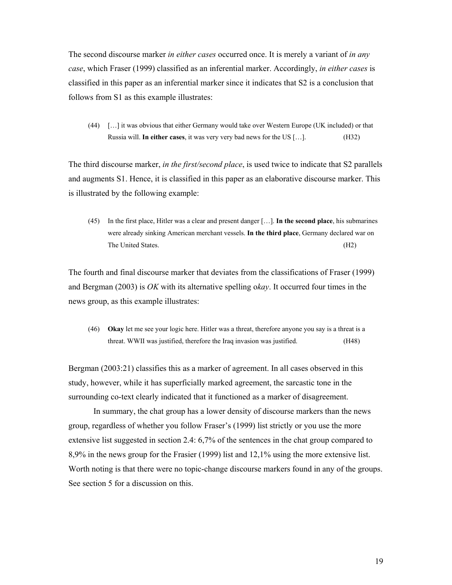The second discourse marker *in either cases* occurred once. It is merely a variant of *in any case*, which Fraser (1999) classified as an inferential marker. Accordingly, *in either cases* is classified in this paper as an inferential marker since it indicates that S2 is a conclusion that follows from S1 as this example illustrates:

(44) […] it was obvious that either Germany would take over Western Europe (UK included) or that Russia will. **In either cases**, it was very very bad news for the US […]. (H32)

The third discourse marker, *in the first/second place*, is used twice to indicate that S2 parallels and augments S1. Hence, it is classified in this paper as an elaborative discourse marker. This is illustrated by the following example:

(45) In the first place, Hitler was a clear and present danger […]. **In the second place**, his submarines were already sinking American merchant vessels. **In the third place**, Germany declared war on The United States. (H2)

The fourth and final discourse marker that deviates from the classifications of Fraser (1999) and Bergman (2003) is *OK* with its alternative spelling o*kay*. It occurred four times in the news group, as this example illustrates:

(46) **Okay** let me see your logic here. Hitler was a threat, therefore anyone you say is a threat is a threat. WWII was justified, therefore the Iraq invasion was justified. (H48)

Bergman (2003:21) classifies this as a marker of agreement. In all cases observed in this study, however, while it has superficially marked agreement, the sarcastic tone in the surrounding co-text clearly indicated that it functioned as a marker of disagreement.

In summary, the chat group has a lower density of discourse markers than the news group, regardless of whether you follow Fraser's (1999) list strictly or you use the more extensive list suggested in section 2.4: 6,7% of the sentences in the chat group compared to 8,9% in the news group for the Frasier (1999) list and 12,1% using the more extensive list. Worth noting is that there were no topic-change discourse markers found in any of the groups. See section 5 for a discussion on this.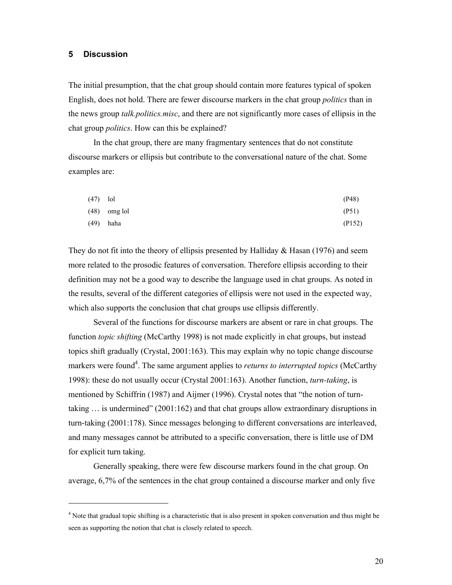### **5 Discussion**

 $\overline{a}$ 

The initial presumption, that the chat group should contain more features typical of spoken English, does not hold. There are fewer discourse markers in the chat group *politics* than in the news group *talk.politics.misc*, and there are not significantly more cases of ellipsis in the chat group *politics*. How can this be explained?

In the chat group, there are many fragmentary sentences that do not constitute discourse markers or ellipsis but contribute to the conversational nature of the chat. Some examples are:

| $(47)$ lol |                | (P48)  |
|------------|----------------|--------|
|            | $(48)$ omg lol | (P51)  |
| (49)       | haha           | (P152) |

They do not fit into the theory of ellipsis presented by Halliday & Hasan (1976) and seem more related to the prosodic features of conversation. Therefore ellipsis according to their definition may not be a good way to describe the language used in chat groups. As noted in the results, several of the different categories of ellipsis were not used in the expected way, which also supports the conclusion that chat groups use ellipsis differently.

Several of the functions for discourse markers are absent or rare in chat groups. The function *topic shifting* (McCarthy 1998) is not made explicitly in chat groups, but instead topics shift gradually (Crystal, 2001:163). This may explain why no topic change discourse markers were found<sup>4</sup>. The same argument applies to *returns to interrupted topics* (McCarthy 1998): these do not usually occur (Crystal 2001:163). Another function, *turn-taking*, is mentioned by Schiffrin (1987) and Aijmer (1996). Crystal notes that "the notion of turntaking … is undermined" (2001:162) and that chat groups allow extraordinary disruptions in turn-taking (2001:178). Since messages belonging to different conversations are interleaved, and many messages cannot be attributed to a specific conversation, there is little use of DM for explicit turn taking.

Generally speaking, there were few discourse markers found in the chat group. On average, 6,7% of the sentences in the chat group contained a discourse marker and only five

<sup>&</sup>lt;sup>4</sup> Note that gradual topic shifting is a characteristic that is also present in spoken conversation and thus might be seen as supporting the notion that chat is closely related to speech.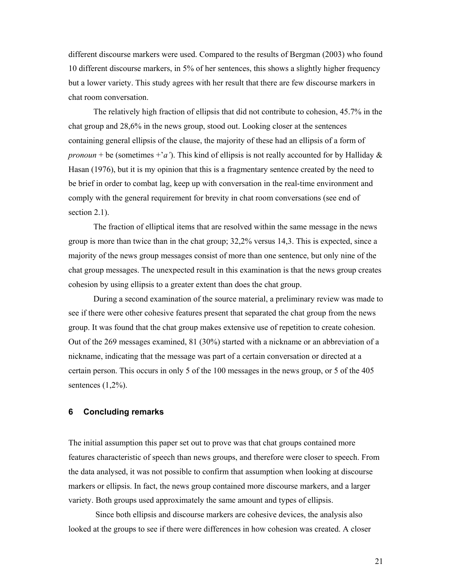different discourse markers were used. Compared to the results of Bergman (2003) who found 10 different discourse markers, in 5% of her sentences, this shows a slightly higher frequency but a lower variety. This study agrees with her result that there are few discourse markers in chat room conversation.

The relatively high fraction of ellipsis that did not contribute to cohesion, 45.7% in the chat group and 28,6% in the news group, stood out. Looking closer at the sentences containing general ellipsis of the clause, the majority of these had an ellipsis of a form of *pronoun* + be (sometimes  $+a'$ ). This kind of ellipsis is not really accounted for by Halliday & Hasan (1976), but it is my opinion that this is a fragmentary sentence created by the need to be brief in order to combat lag, keep up with conversation in the real-time environment and comply with the general requirement for brevity in chat room conversations (see end of section 2.1).

The fraction of elliptical items that are resolved within the same message in the news group is more than twice than in the chat group; 32,2% versus 14,3. This is expected, since a majority of the news group messages consist of more than one sentence, but only nine of the chat group messages. The unexpected result in this examination is that the news group creates cohesion by using ellipsis to a greater extent than does the chat group.

During a second examination of the source material, a preliminary review was made to see if there were other cohesive features present that separated the chat group from the news group. It was found that the chat group makes extensive use of repetition to create cohesion. Out of the 269 messages examined, 81 (30%) started with a nickname or an abbreviation of a nickname, indicating that the message was part of a certain conversation or directed at a certain person. This occurs in only 5 of the 100 messages in the news group, or 5 of the 405 sentences  $(1,2\%)$ .

## **6 Concluding remarks**

The initial assumption this paper set out to prove was that chat groups contained more features characteristic of speech than news groups, and therefore were closer to speech. From the data analysed, it was not possible to confirm that assumption when looking at discourse markers or ellipsis. In fact, the news group contained more discourse markers, and a larger variety. Both groups used approximately the same amount and types of ellipsis.

 Since both ellipsis and discourse markers are cohesive devices, the analysis also looked at the groups to see if there were differences in how cohesion was created. A closer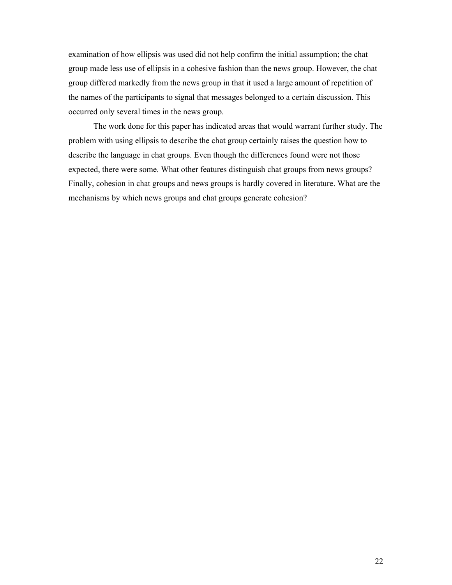examination of how ellipsis was used did not help confirm the initial assumption; the chat group made less use of ellipsis in a cohesive fashion than the news group. However, the chat group differed markedly from the news group in that it used a large amount of repetition of the names of the participants to signal that messages belonged to a certain discussion. This occurred only several times in the news group.

 The work done for this paper has indicated areas that would warrant further study. The problem with using ellipsis to describe the chat group certainly raises the question how to describe the language in chat groups. Even though the differences found were not those expected, there were some. What other features distinguish chat groups from news groups? Finally, cohesion in chat groups and news groups is hardly covered in literature. What are the mechanisms by which news groups and chat groups generate cohesion?